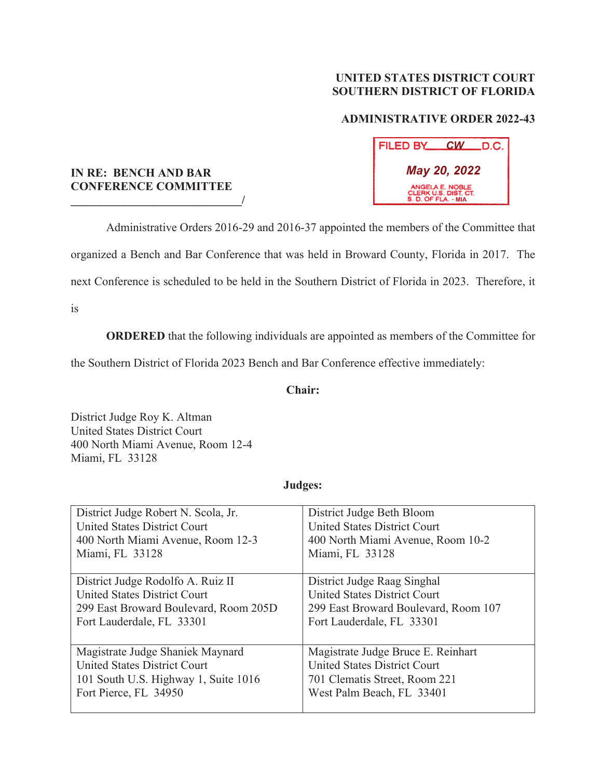### **UNITED STATES DISTRICT COURT SOUTHERN DISTRICT OF FLORIDA**

## **ADMINISTRATIVE ORDER 2022-43**

| FILED BY                                                       | <u>CW_</u> | .D.C. |  |
|----------------------------------------------------------------|------------|-------|--|
| May 20, 2022                                                   |            |       |  |
| ANGELA E. NOBLE<br>CLERK U.S. DIST. CT.<br>S. D. OF FLA. - MIA |            |       |  |

#### **IN RE: BENCH AND BAR CONFERENCE COMMITTEE \_\_\_\_\_\_\_\_\_\_\_\_\_\_\_\_\_\_\_\_\_\_\_\_\_\_\_\_\_/**

 Administrative Orders 2016-29 and 2016-37 appointed the members of the Committee that organized a Bench and Bar Conference that was held in Broward County, Florida in 2017. The next Conference is scheduled to be held in the Southern District of Florida in 2023. Therefore, it

is

**ORDERED** that the following individuals are appointed as members of the Committee for

the Southern District of Florida 2023 Bench and Bar Conference effective immediately:

### **Chair:**

District Judge Roy K. Altman United States District Court 400 North Miami Avenue, Room 12-4 Miami, FL 33128

#### **Judges:**

| District Judge Robert N. Scola, Jr.   | District Judge Beth Bloom            |
|---------------------------------------|--------------------------------------|
| <b>United States District Court</b>   | <b>United States District Court</b>  |
| 400 North Miami Avenue, Room 12-3     | 400 North Miami Avenue, Room 10-2    |
| Miami, FL 33128                       | Miami, FL 33128                      |
| District Judge Rodolfo A. Ruiz II     | District Judge Raag Singhal          |
| <b>United States District Court</b>   | <b>United States District Court</b>  |
| 299 East Broward Boulevard, Room 205D | 299 East Broward Boulevard, Room 107 |
| Fort Lauderdale, FL 33301             | Fort Lauderdale, FL 33301            |
| Magistrate Judge Shaniek Maynard      | Magistrate Judge Bruce E. Reinhart   |
| <b>United States District Court</b>   | <b>United States District Court</b>  |
| 101 South U.S. Highway 1, Suite 1016  | 701 Clematis Street, Room 221        |
| Fort Pierce, FL 34950                 | West Palm Beach, FL 33401            |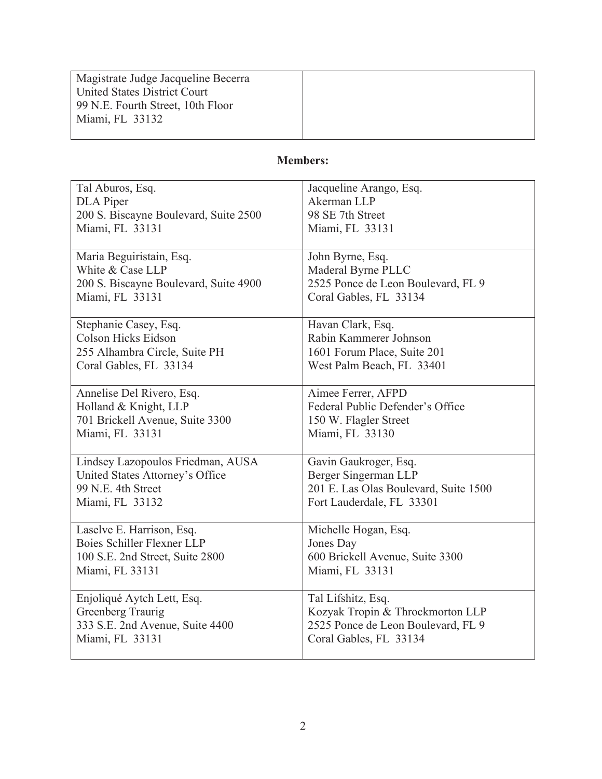| Magistrate Judge Jacqueline Becerra |  |
|-------------------------------------|--|
| United States District Court        |  |
| 99 N.E. Fourth Street, 10th Floor   |  |
| Miami, FL 33132                     |  |
|                                     |  |

# **Members:**

| Tal Aburos, Esq.                      | Jacqueline Arango, Esq.               |
|---------------------------------------|---------------------------------------|
| <b>DLA</b> Piper                      | Akerman LLP                           |
| 200 S. Biscayne Boulevard, Suite 2500 | 98 SE 7th Street                      |
| Miami, FL 33131                       | Miami, FL 33131                       |
| Maria Beguiristain, Esq.              | John Byrne, Esq.                      |
| White & Case LLP                      | Maderal Byrne PLLC                    |
| 200 S. Biscayne Boulevard, Suite 4900 | 2525 Ponce de Leon Boulevard, FL 9    |
| Miami, FL 33131                       | Coral Gables, FL 33134                |
| Stephanie Casey, Esq.                 | Havan Clark, Esq.                     |
| <b>Colson Hicks Eidson</b>            | Rabin Kammerer Johnson                |
| 255 Alhambra Circle, Suite PH         | 1601 Forum Place, Suite 201           |
| Coral Gables, FL 33134                | West Palm Beach, FL 33401             |
| Annelise Del Rivero, Esq.             | Aimee Ferrer, AFPD                    |
| Holland & Knight, LLP                 | Federal Public Defender's Office      |
| 701 Brickell Avenue, Suite 3300       | 150 W. Flagler Street                 |
| Miami, FL 33131                       | Miami, FL 33130                       |
| Lindsey Lazopoulos Friedman, AUSA     | Gavin Gaukroger, Esq.                 |
| United States Attorney's Office       | Berger Singerman LLP                  |
| 99 N.E. 4th Street                    | 201 E. Las Olas Boulevard, Suite 1500 |
| Miami, FL 33132                       | Fort Lauderdale, FL 33301             |
| Laselve E. Harrison, Esq.             | Michelle Hogan, Esq.                  |
| Boies Schiller Flexner LLP            | Jones Day                             |
| 100 S.E. 2nd Street, Suite 2800       | 600 Brickell Avenue, Suite 3300       |
| Miami, FL 33131                       | Miami, FL 33131                       |
| Enjoliqué Aytch Lett, Esq.            | Tal Lifshitz, Esq.                    |
| Greenberg Traurig                     | Kozyak Tropin & Throckmorton LLP      |
| 333 S.E. 2nd Avenue, Suite 4400       | 2525 Ponce de Leon Boulevard, FL 9    |
| Miami, FL 33131                       | Coral Gables, FL 33134                |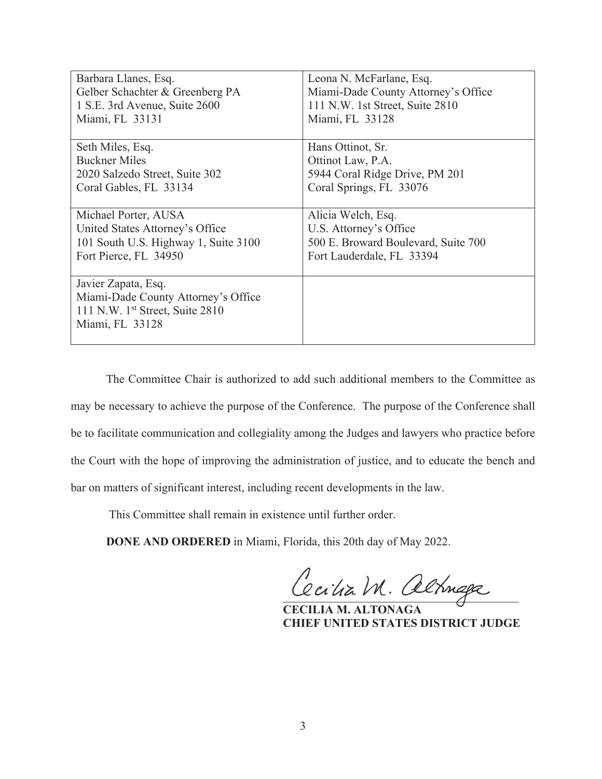| Barbara Llanes, Esq.                 | Leona N. McFarlane, Esq.            |
|--------------------------------------|-------------------------------------|
| Gelber Schachter & Greenberg PA      | Miami-Dade County Attorney's Office |
| 1 S.E. 3rd Avenue, Suite 2600        | 111 N.W. 1st Street, Suite 2810     |
| Miami, FL 33131                      | Miami, FL 33128                     |
|                                      |                                     |
| Seth Miles, Esq.                     | Hans Ottinot, Sr.                   |
| <b>Buckner Miles</b>                 | Ottinot Law, P.A.                   |
| 2020 Salzedo Street, Suite 302       | 5944 Coral Ridge Drive, PM 201      |
| Coral Gables, FL 33134               | Coral Springs, FL 33076             |
|                                      |                                     |
| Michael Porter, AUSA                 | Alicia Welch, Esq.                  |
| United States Attorney's Office      | U.S. Attorney's Office              |
| 101 South U.S. Highway 1, Suite 3100 | 500 E. Broward Boulevard, Suite 700 |
| Fort Pierce, FL 34950                | Fort Lauderdale, FL 33394           |
|                                      |                                     |
| Javier Zapata, Esq.                  |                                     |
| Miami-Dade County Attorney's Office  |                                     |
| 111 N.W. $1st$ Street, Suite 2810    |                                     |
| Miami, FL 33128                      |                                     |
|                                      |                                     |

 The Committee Chair is authorized to add such additional members to the Committee as may be necessary to achieve the purpose of the Conference. The purpose of the Conference shall be to facilitate communication and collegiality among the Judges and lawyers who practice before the Court with the hope of improving the administration of justice, and to educate the bench and bar on matters of significant interest, including recent developments in the law.

This Committee shall remain in existence until further order.

**DONE AND ORDERED** in Miami, Florida, this 20th day of May 2022.

Cecilia M. altriga

 **CECILIA M. ALTONAGA CHIEF UNITED STATES DISTRICT JUDGE**